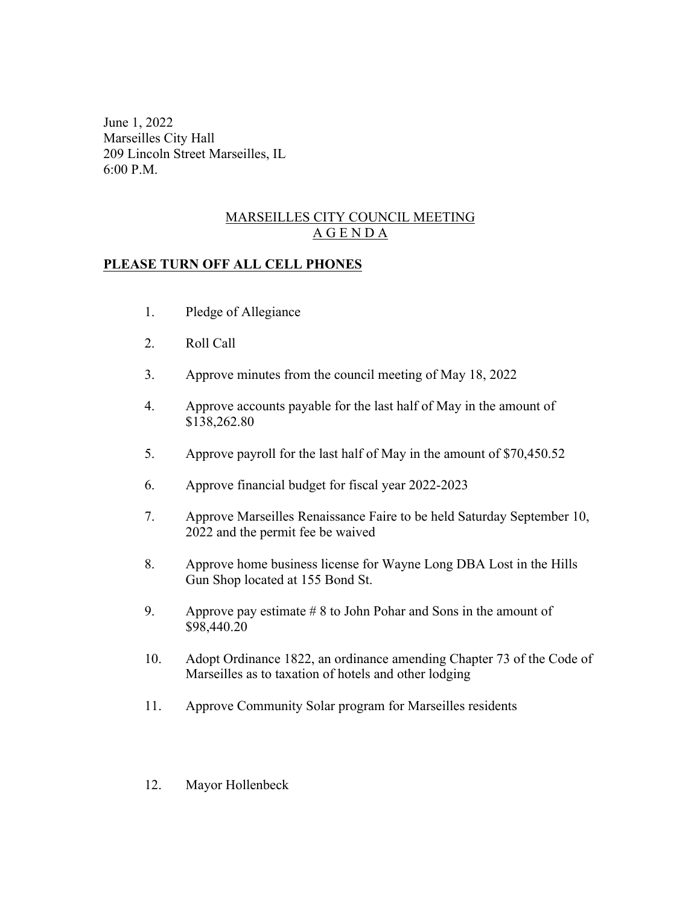June 1, 2022 Marseilles City Hall 209 Lincoln Street Marseilles, IL 6:00 P.M.

## MARSEILLES CITY COUNCIL MEETING A G E N D A

## **PLEASE TURN OFF ALL CELL PHONES**

- 1. Pledge of Allegiance
- 2. Roll Call
- 3. Approve minutes from the council meeting of May 18, 2022
- 4. Approve accounts payable for the last half of May in the amount of \$138,262.80
- 5. Approve payroll for the last half of May in the amount of \$70,450.52
- 6. Approve financial budget for fiscal year 2022-2023
- 7. Approve Marseilles Renaissance Faire to be held Saturday September 10, 2022 and the permit fee be waived
- 8. Approve home business license for Wayne Long DBA Lost in the Hills Gun Shop located at 155 Bond St.
- 9. Approve pay estimate  $# 8$  to John Pohar and Sons in the amount of \$98,440.20
- 10. Adopt Ordinance 1822, an ordinance amending Chapter 73 of the Code of Marseilles as to taxation of hotels and other lodging
- 11. Approve Community Solar program for Marseilles residents
- 12. Mayor Hollenbeck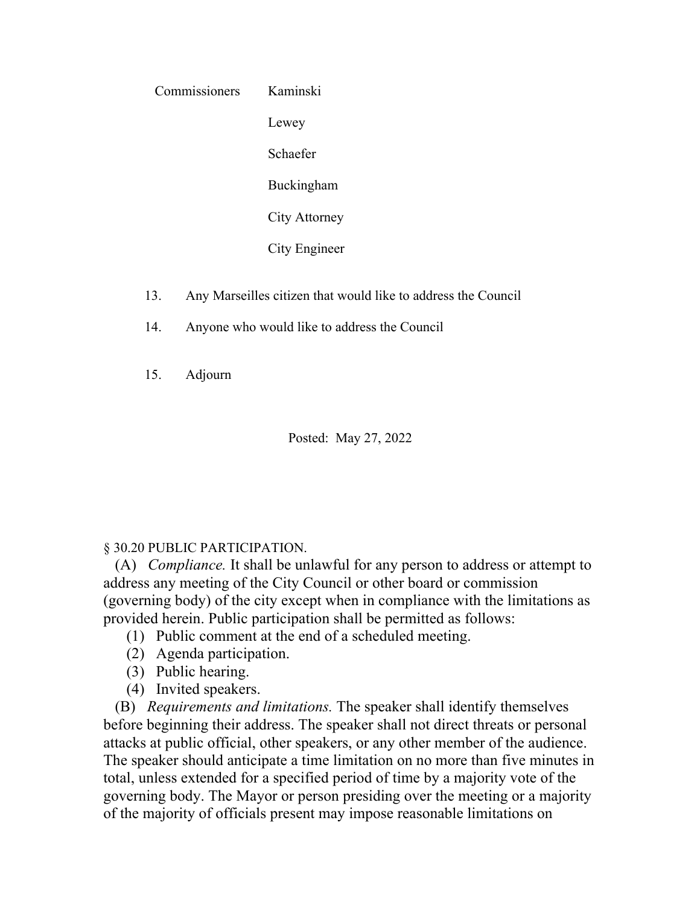| Commissioners | Kaminski      |
|---------------|---------------|
|               | Lewey         |
|               | Schaefer      |
|               | Buckingham    |
|               | City Attorney |
|               | City Engineer |

- 13. Any Marseilles citizen that would like to address the Council
- 14. Anyone who would like to address the Council

15. Adjourn

Posted: May 27, 2022

## § 30.20 PUBLIC PARTICIPATION.

 (A) *Compliance.* It shall be unlawful for any person to address or attempt to address any meeting of the City Council or other board or commission (governing body) of the city except when in compliance with the limitations as provided herein. Public participation shall be permitted as follows:

- (1) Public comment at the end of a scheduled meeting.
- (2) Agenda participation.
- (3) Public hearing.
- (4) Invited speakers.

 (B) *Requirements and limitations.* The speaker shall identify themselves before beginning their address. The speaker shall not direct threats or personal attacks at public official, other speakers, or any other member of the audience. The speaker should anticipate a time limitation on no more than five minutes in total, unless extended for a specified period of time by a majority vote of the governing body. The Mayor or person presiding over the meeting or a majority of the majority of officials present may impose reasonable limitations on